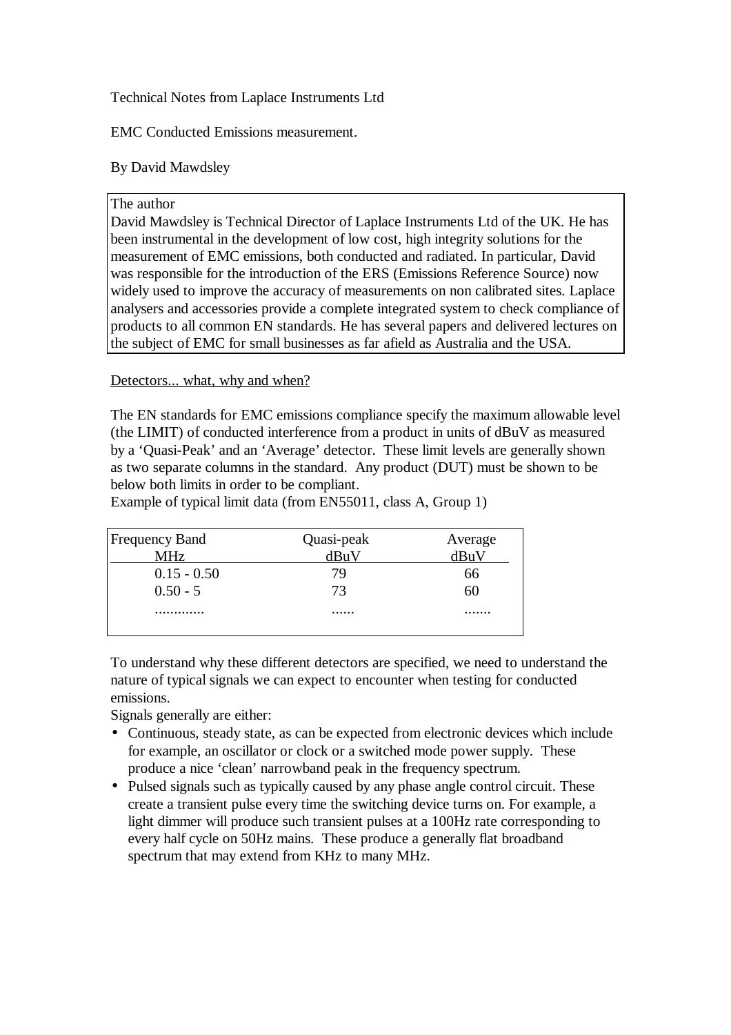Technical Notes from Laplace Instruments Ltd

EMC Conducted Emissions measurement.

## By David Mawdsley

## The author

David Mawdsley is Technical Director of Laplace Instruments Ltd of the UK. He has been instrumental in the development of low cost, high integrity solutions for the measurement of EMC emissions, both conducted and radiated. In particular, David was responsible for the introduction of the ERS (Emissions Reference Source) now widely used to improve the accuracy of measurements on non calibrated sites. Laplace analysers and accessories provide a complete integrated system to check compliance of products to all common EN standards. He has several papers and delivered lectures on the subject of EMC for small businesses as far afield as Australia and the USA.

Detectors... what, why and when?

The EN standards for EMC emissions compliance specify the maximum allowable level (the LIMIT) of conducted interference from a product in units of dBuV as measured by a 'Quasi-Peak' and an 'Average' detector. These limit levels are generally shown as two separate columns in the standard. Any product (DUT) must be shown to be below both limits in order to be compliant.

| <b>Frequency Band</b> | Quasi-peak | Average |
|-----------------------|------------|---------|
| <b>MHz</b>            | dBuV       | dBuV    |
| $0.15 - 0.50$         | 79         | nn      |
| $0.50 - 5$            | 73         |         |
|                       |            |         |
|                       |            |         |

Example of typical limit data (from EN55011, class A, Group 1)

To understand why these different detectors are specified, we need to understand the nature of typical signals we can expect to encounter when testing for conducted emissions.

Signals generally are either:

- Continuous, steady state, as can be expected from electronic devices which include for example, an oscillator or clock or a switched mode power supply. These produce a nice 'clean' narrowband peak in the frequency spectrum.
- Pulsed signals such as typically caused by any phase angle control circuit. These create a transient pulse every time the switching device turns on. For example, a light dimmer will produce such transient pulses at a 100Hz rate corresponding to every half cycle on 50Hz mains. These produce a generally flat broadband spectrum that may extend from KHz to many MHz.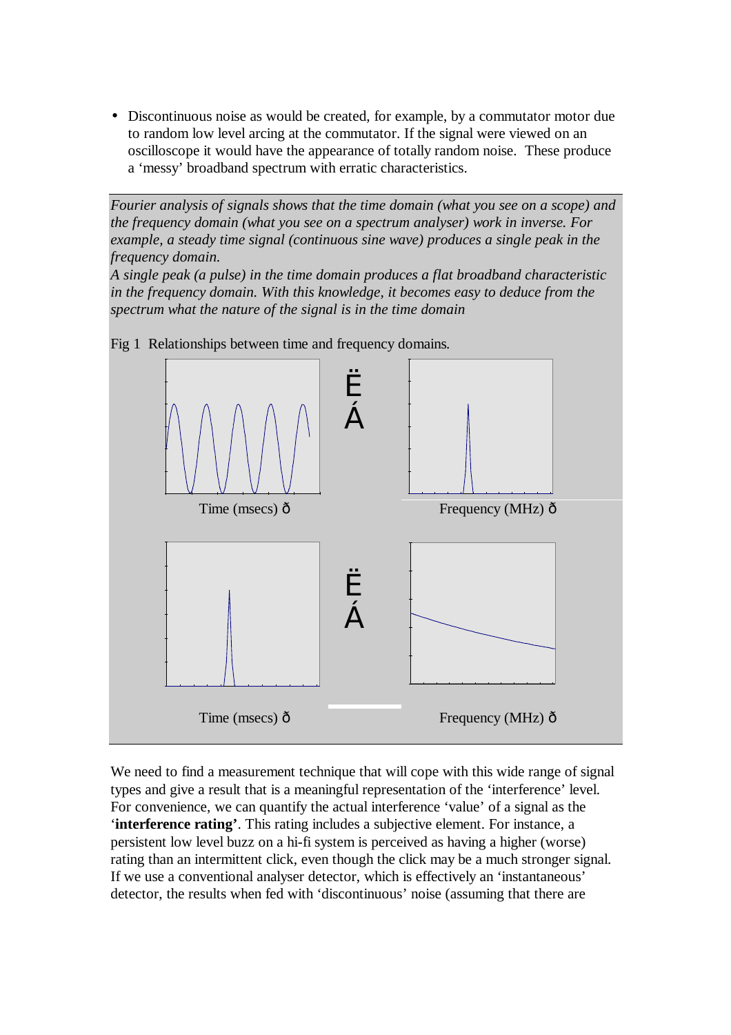• Discontinuous noise as would be created, for example, by a commutator motor due to random low level arcing at the commutator. If the signal were viewed on an oscilloscope it would have the appearance of totally random noise. These produce a 'messy' broadband spectrum with erratic characteristics.

*Fourier analysis of signals shows that the time domain (what you see on a scope) and the frequency domain (what you see on a spectrum analyser) work in inverse. For example, a steady time signal (continuous sine wave) produces a single peak in the frequency domain.* 

*A single peak (a pulse) in the time domain produces a flat broadband characteristic in the frequency domain. With this knowledge, it becomes easy to deduce from the spectrum what the nature of the signal is in the time domain* 



Fig 1 Relationships between time and frequency domains*.*

We need to find a measurement technique that will cope with this wide range of signal types and give a result that is a meaningful representation of the 'interference' level. For convenience, we can quantify the actual interference 'value' of a signal as the '**interference rating'**. This rating includes a subjective element. For instance, a persistent low level buzz on a hi-fi system is perceived as having a higher (worse) rating than an intermittent click, even though the click may be a much stronger signal. If we use a conventional analyser detector, which is effectively an 'instantaneous' detector, the results when fed with 'discontinuous' noise (assuming that there are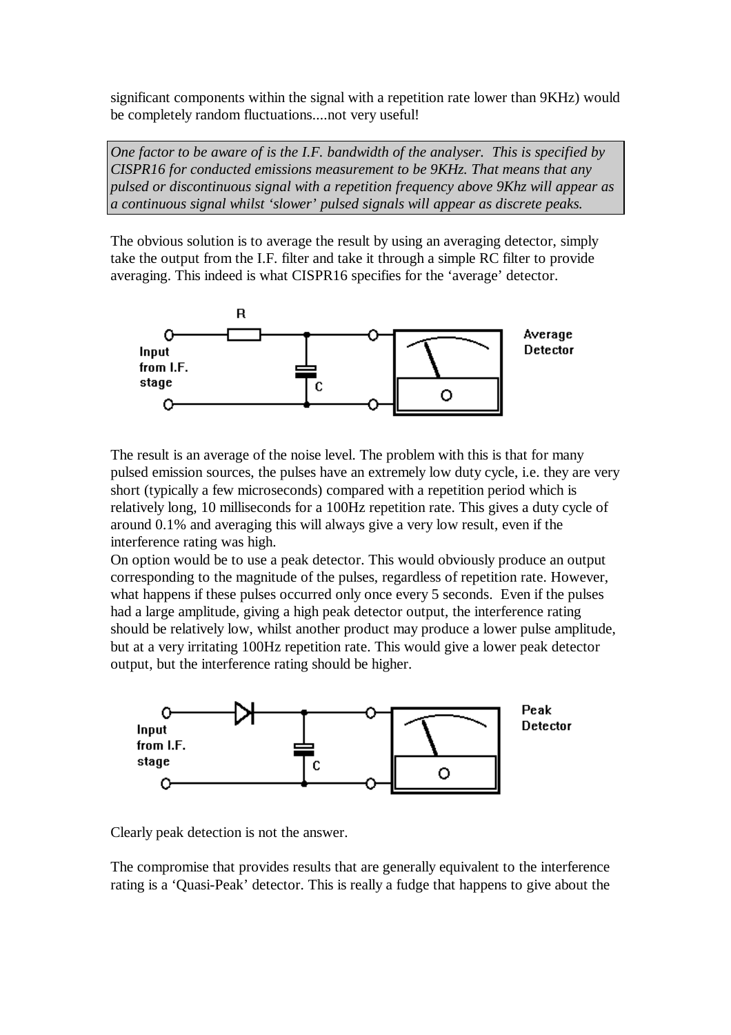significant components within the signal with a repetition rate lower than 9KHz) would be completely random fluctuations....not very useful!

*One factor to be aware of is the I.F. bandwidth of the analyser. This is specified by CISPR16 for conducted emissions measurement to be 9KHz. That means that any pulsed or discontinuous signal with a repetition frequency above 9Khz will appear as a continuous signal whilst 'slower' pulsed signals will appear as discrete peaks.* 

The obvious solution is to average the result by using an averaging detector, simply take the output from the I.F. filter and take it through a simple RC filter to provide averaging. This indeed is what CISPR16 specifies for the 'average' detector.



The result is an average of the noise level. The problem with this is that for many pulsed emission sources, the pulses have an extremely low duty cycle, i.e. they are very short (typically a few microseconds) compared with a repetition period which is relatively long, 10 milliseconds for a 100Hz repetition rate. This gives a duty cycle of around 0.1% and averaging this will always give a very low result, even if the interference rating was high.

On option would be to use a peak detector. This would obviously produce an output corresponding to the magnitude of the pulses, regardless of repetition rate. However, what happens if these pulses occurred only once every 5 seconds. Even if the pulses had a large amplitude, giving a high peak detector output, the interference rating should be relatively low, whilst another product may produce a lower pulse amplitude, but at a very irritating 100Hz repetition rate. This would give a lower peak detector output, but the interference rating should be higher.



Clearly peak detection is not the answer.

The compromise that provides results that are generally equivalent to the interference rating is a 'Quasi-Peak' detector. This is really a fudge that happens to give about the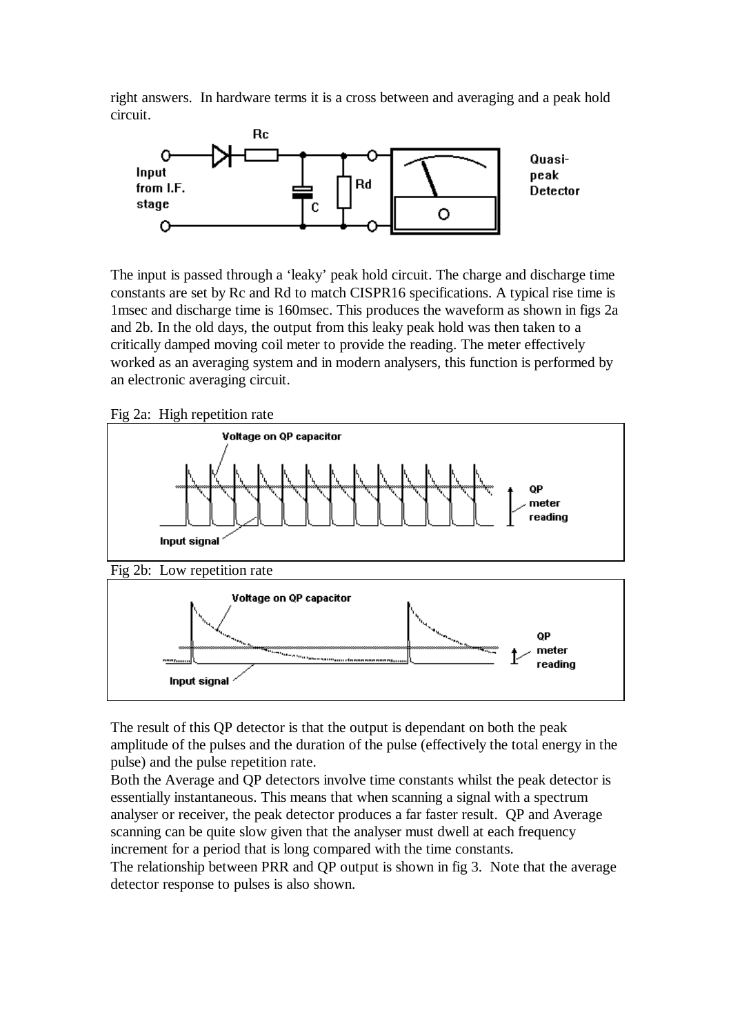right answers. In hardware terms it is a cross between and averaging and a peak hold circuit.



The input is passed through a 'leaky' peak hold circuit. The charge and discharge time constants are set by Rc and Rd to match CISPR16 specifications. A typical rise time is 1msec and discharge time is 160msec. This produces the waveform as shown in figs 2a and 2b. In the old days, the output from this leaky peak hold was then taken to a critically damped moving coil meter to provide the reading. The meter effectively worked as an averaging system and in modern analysers, this function is performed by an electronic averaging circuit.

Fig 2a: High repetition rate



The result of this QP detector is that the output is dependant on both the peak amplitude of the pulses and the duration of the pulse (effectively the total energy in the pulse) and the pulse repetition rate.

Both the Average and QP detectors involve time constants whilst the peak detector is essentially instantaneous. This means that when scanning a signal with a spectrum analyser or receiver, the peak detector produces a far faster result. QP and Average scanning can be quite slow given that the analyser must dwell at each frequency increment for a period that is long compared with the time constants.

The relationship between PRR and QP output is shown in fig 3. Note that the average detector response to pulses is also shown.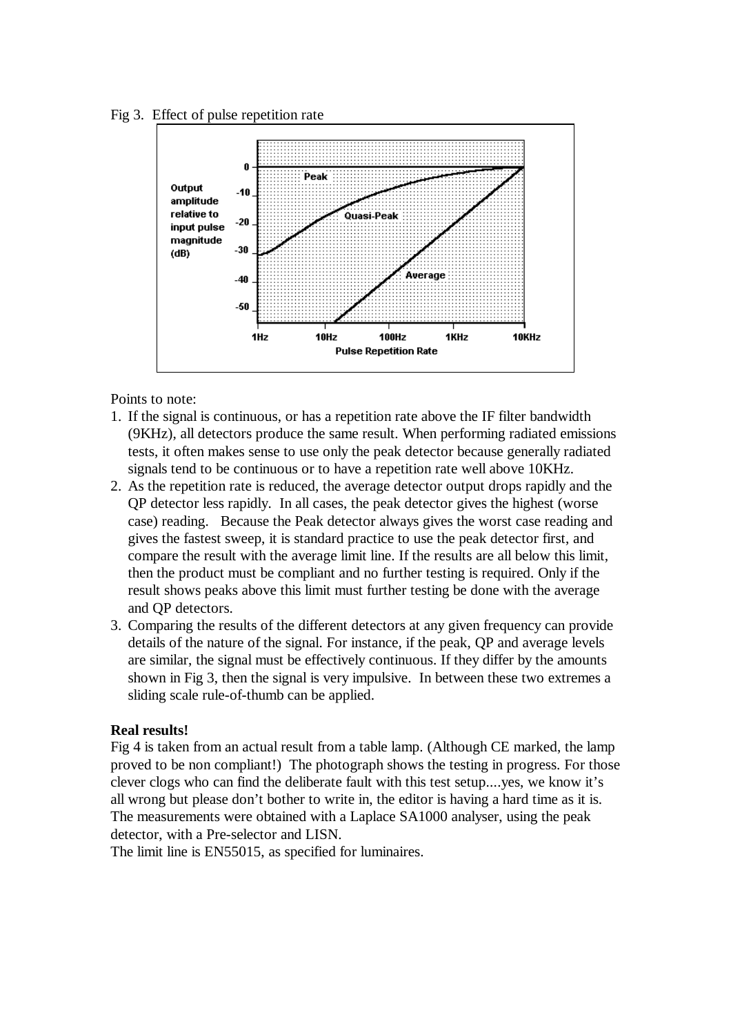



Points to note:

- 1. If the signal is continuous, or has a repetition rate above the IF filter bandwidth (9KHz), all detectors produce the same result. When performing radiated emissions tests, it often makes sense to use only the peak detector because generally radiated signals tend to be continuous or to have a repetition rate well above 10KHz.
- 2. As the repetition rate is reduced, the average detector output drops rapidly and the QP detector less rapidly. In all cases, the peak detector gives the highest (worse case) reading. Because the Peak detector always gives the worst case reading and gives the fastest sweep, it is standard practice to use the peak detector first, and compare the result with the average limit line. If the results are all below this limit, then the product must be compliant and no further testing is required. Only if the result shows peaks above this limit must further testing be done with the average and QP detectors.
- 3. Comparing the results of the different detectors at any given frequency can provide details of the nature of the signal. For instance, if the peak, QP and average levels are similar, the signal must be effectively continuous. If they differ by the amounts shown in Fig 3, then the signal is very impulsive. In between these two extremes a sliding scale rule-of-thumb can be applied.

## **Real results!**

Fig 4 is taken from an actual result from a table lamp. (Although CE marked, the lamp proved to be non compliant!) The photograph shows the testing in progress. For those clever clogs who can find the deliberate fault with this test setup....yes, we know it's all wrong but please don't bother to write in, the editor is having a hard time as it is. The measurements were obtained with a Laplace SA1000 analyser, using the peak detector, with a Pre-selector and LISN.

The limit line is EN55015, as specified for luminaires.